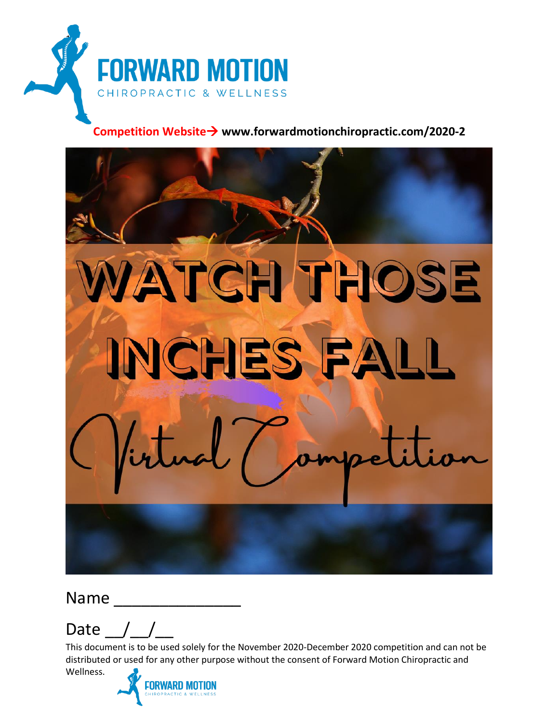

#### **Competition Website**→ **www.forwardmotionchiropractic.com/2020-2**



Name

Wellness.

Date  $/$  /

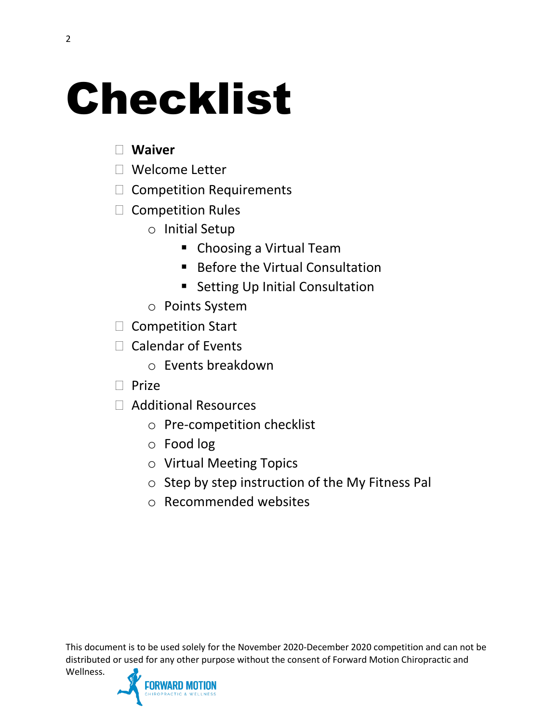### Checklist

#### **Waiver**

- □ Welcome Letter
- □ Competition Requirements
- $\Box$  Competition Rules
	- o Initial Setup
		- Choosing a Virtual Team
		- Before the Virtual Consultation
		- Setting Up Initial Consultation
	- o Points System
- $\Box$  Competition Start
- $\Box$  Calendar of Events
	- o Events breakdown
- $\Box$  Prize
- □ Additional Resources
	- o Pre-competition checklist
	- o Food log
	- o Virtual Meeting Topics
	- o Step by step instruction of the My Fitness Pal
	- o Recommended websites

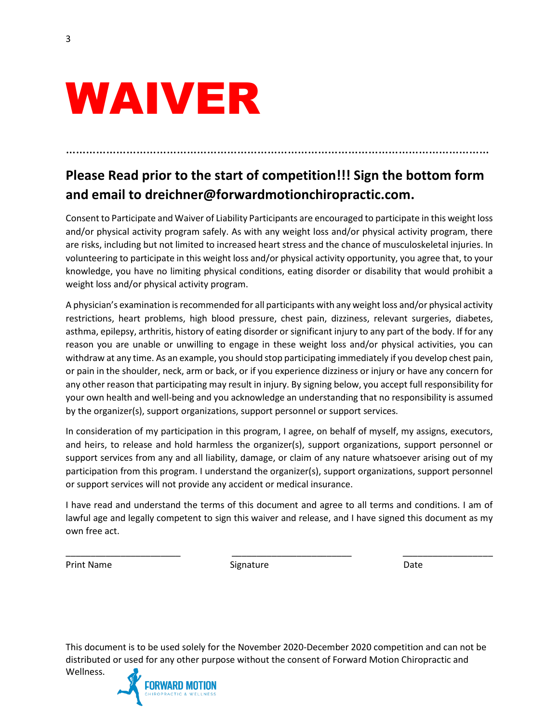### **Please Read prior to the start of competition!!! Sign the bottom form and email to dreichner@forwardmotionchiropractic.com.**

………………………………………………………………………………………………………………

Consent to Participate and Waiver of Liability Participants are encouraged to participate in this weight loss and/or physical activity program safely. As with any weight loss and/or physical activity program, there are risks, including but not limited to increased heart stress and the chance of musculoskeletal injuries. In volunteering to participate in this weight loss and/or physical activity opportunity, you agree that, to your knowledge, you have no limiting physical conditions, eating disorder or disability that would prohibit a weight loss and/or physical activity program.

A physician's examination is recommended for all participants with any weight loss and/or physical activity restrictions, heart problems, high blood pressure, chest pain, dizziness, relevant surgeries, diabetes, asthma, epilepsy, arthritis, history of eating disorder or significant injury to any part of the body. If for any reason you are unable or unwilling to engage in these weight loss and/or physical activities, you can withdraw at any time. As an example, you should stop participating immediately if you develop chest pain, or pain in the shoulder, neck, arm or back, or if you experience dizziness or injury or have any concern for any other reason that participating may result in injury. By signing below, you accept full responsibility for your own health and well-being and you acknowledge an understanding that no responsibility is assumed by the organizer(s), support organizations, support personnel or support services.

In consideration of my participation in this program, I agree, on behalf of myself, my assigns, executors, and heirs, to release and hold harmless the organizer(s), support organizations, support personnel or support services from any and all liability, damage, or claim of any nature whatsoever arising out of my participation from this program. I understand the organizer(s), support organizations, support personnel or support services will not provide any accident or medical insurance.

I have read and understand the terms of this document and agree to all terms and conditions. I am of lawful age and legally competent to sign this waiver and release, and I have signed this document as my own free act.

\_\_\_\_\_\_\_\_\_\_\_\_\_\_\_\_\_\_\_\_\_\_\_ \_\_\_\_\_\_\_\_\_\_\_\_\_\_\_\_\_\_\_\_\_\_\_\_ \_\_\_\_\_\_\_\_\_\_\_\_\_\_\_\_\_\_

Print Name **Signature** Signature **Contract Contract Contract Contract Contract Contract Contract Contract Contract Contract Contract Contract Contract Contract Contract Contract Contract Contract Contract Contract Contract** 

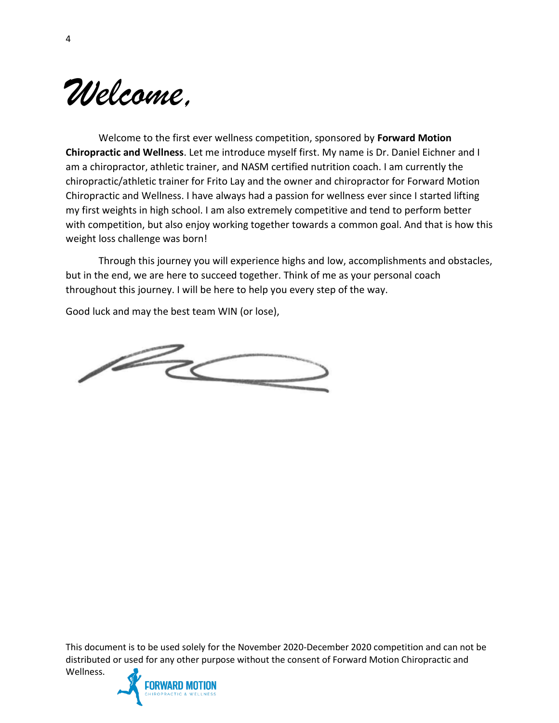

Welcome to the first ever wellness competition, sponsored by **Forward Motion Chiropractic and Wellness**. Let me introduce myself first. My name is Dr. Daniel Eichner and I am a chiropractor, athletic trainer, and NASM certified nutrition coach. I am currently the chiropractic/athletic trainer for Frito Lay and the owner and chiropractor for Forward Motion Chiropractic and Wellness. I have always had a passion for wellness ever since I started lifting my first weights in high school. I am also extremely competitive and tend to perform better with competition, but also enjoy working together towards a common goal. And that is how this weight loss challenge was born!

Through this journey you will experience highs and low, accomplishments and obstacles, but in the end, we are here to succeed together. Think of me as your personal coach throughout this journey. I will be here to help you every step of the way.

Good luck and may the best team WIN (or lose),

 $\angle$ 

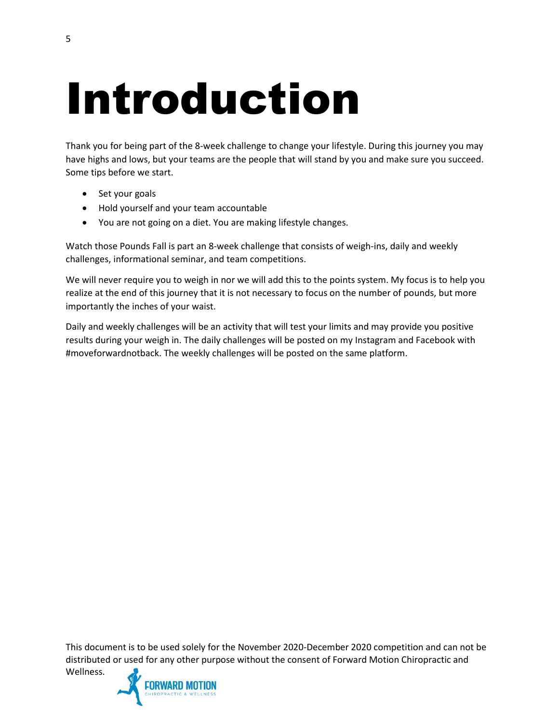### Introduction

Thank you for being part of the 8-week challenge to change your lifestyle. During this journey you may have highs and lows, but your teams are the people that will stand by you and make sure you succeed. Some tips before we start.

- Set your goals
- Hold yourself and your team accountable
- You are not going on a diet. You are making lifestyle changes.

Watch those Pounds Fall is part an 8-week challenge that consists of weigh-ins, daily and weekly challenges, informational seminar, and team competitions.

We will never require you to weigh in nor we will add this to the points system. My focus is to help you realize at the end of this journey that it is not necessary to focus on the number of pounds, but more importantly the inches of your waist.

Daily and weekly challenges will be an activity that will test your limits and may provide you positive results during your weigh in. The daily challenges will be posted on my Instagram and Facebook with #moveforwardnotback. The weekly challenges will be posted on the same platform.

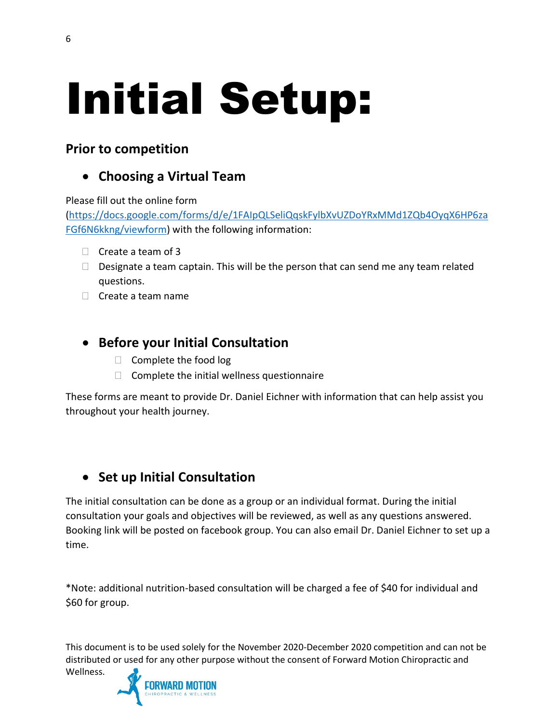## Initial Setup:

#### **Prior to competition**

#### • **Choosing a Virtual Team**

Please fill out the online form

[\(https://docs.google.com/forms/d/e/1FAIpQLSeliQqskFylbXvUZDoYRxMMd1ZQb4OyqX6HP6za](https://docs.google.com/forms/d/e/1FAIpQLSeliQqskFylbXvUZDoYRxMMd1ZQb4OyqX6HP6zaFGf6N6kkng/viewform) [FGf6N6kkng/viewform\)](https://docs.google.com/forms/d/e/1FAIpQLSeliQqskFylbXvUZDoYRxMMd1ZQb4OyqX6HP6zaFGf6N6kkng/viewform) with the following information:

- $\Box$  Create a team of 3
- $\Box$  Designate a team captain. This will be the person that can send me any team related questions.
- $\Box$  Create a team name

#### • **Before your Initial Consultation**

- $\Box$  Complete the food log
- $\Box$  Complete the initial wellness questionnaire

These forms are meant to provide Dr. Daniel Eichner with information that can help assist you throughout your health journey.

#### • **Set up Initial Consultation**

The initial consultation can be done as a group or an individual format. During the initial consultation your goals and objectives will be reviewed, as well as any questions answered. Booking link will be posted on facebook group. You can also email Dr. Daniel Eichner to set up a time.

\*Note: additional nutrition-based consultation will be charged a fee of \$40 for individual and \$60 for group.

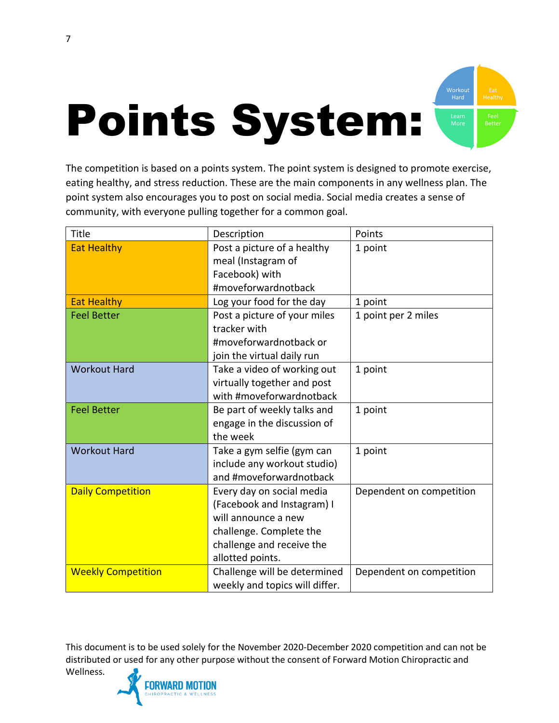

The competition is based on a points system. The point system is designed to promote exercise, eating healthy, and stress reduction. These are the main components in any wellness plan. The point system also encourages you to post on social media. Social media creates a sense of community, with everyone pulling together for a common goal.

| Title                     | Description                    | Points                   |
|---------------------------|--------------------------------|--------------------------|
| <b>Eat Healthy</b>        | Post a picture of a healthy    | 1 point                  |
|                           | meal (Instagram of             |                          |
|                           | Facebook) with                 |                          |
|                           | #moveforwardnotback            |                          |
| <b>Eat Healthy</b>        | Log your food for the day      | 1 point                  |
| <b>Feel Better</b>        | Post a picture of your miles   | 1 point per 2 miles      |
|                           | tracker with                   |                          |
|                           | #moveforwardnotback or         |                          |
|                           | join the virtual daily run     |                          |
| <b>Workout Hard</b>       | Take a video of working out    | 1 point                  |
|                           | virtually together and post    |                          |
|                           | with #moveforwardnotback       |                          |
| <b>Feel Better</b>        | Be part of weekly talks and    | 1 point                  |
|                           | engage in the discussion of    |                          |
|                           | the week                       |                          |
| <b>Workout Hard</b>       | Take a gym selfie (gym can     | 1 point                  |
|                           | include any workout studio)    |                          |
|                           | and #moveforwardnotback        |                          |
| <b>Daily Competition</b>  | Every day on social media      | Dependent on competition |
|                           | (Facebook and Instagram) I     |                          |
|                           | will announce a new            |                          |
|                           | challenge. Complete the        |                          |
|                           | challenge and receive the      |                          |
|                           | allotted points.               |                          |
| <b>Weekly Competition</b> | Challenge will be determined   | Dependent on competition |
|                           | weekly and topics will differ. |                          |

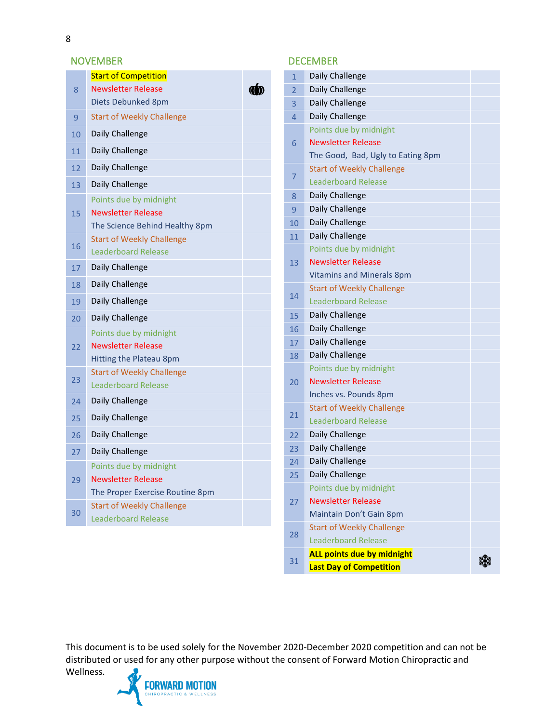#### NOVEMBER DECEMBER

|    | <b>Start of Competition</b>      |  |
|----|----------------------------------|--|
| 8  | <b>Newsletter Release</b>        |  |
|    | Diets Debunked 8pm               |  |
| 9  | <b>Start of Weekly Challenge</b> |  |
| 10 | Daily Challenge                  |  |
| 11 | Daily Challenge                  |  |
| 12 | Daily Challenge                  |  |
| 13 | Daily Challenge                  |  |
|    | Points due by midnight           |  |
| 15 | <b>Newsletter Release</b>        |  |
|    | The Science Behind Healthy 8pm   |  |
| 16 | <b>Start of Weekly Challenge</b> |  |
|    | <b>Leaderboard Release</b>       |  |
| 17 | Daily Challenge                  |  |
| 18 | Daily Challenge                  |  |
| 19 | Daily Challenge                  |  |
| 20 | Daily Challenge                  |  |
|    | Points due by midnight           |  |
| 22 | <b>Newsletter Release</b>        |  |
|    | Hitting the Plateau 8pm          |  |
| 23 | <b>Start of Weekly Challenge</b> |  |
|    | Leaderboard Release              |  |
| 24 | Daily Challenge                  |  |
| 25 | Daily Challenge                  |  |
| 26 | Daily Challenge                  |  |
| 27 | Daily Challenge                  |  |
|    | Points due by midnight           |  |
| 29 | <b>Newsletter Release</b>        |  |
|    | The Proper Exercise Routine 8pm  |  |
| 30 | <b>Start of Weekly Challenge</b> |  |
|    | Leaderboard Release              |  |

| $\mathbf{1}$ | Daily Challenge                   |  |
|--------------|-----------------------------------|--|
| 2            | Daily Challenge                   |  |
| 3            | Daily Challenge                   |  |
| 4            | Daily Challenge                   |  |
|              | Points due by midnight            |  |
| 6            | <b>Newsletter Release</b>         |  |
|              | The Good, Bad, Ugly to Eating 8pm |  |
|              | <b>Start of Weekly Challenge</b>  |  |
| 7            | <b>Leaderboard Release</b>        |  |
| 8            | Daily Challenge                   |  |
| 9            | Daily Challenge                   |  |
| 10           | Daily Challenge                   |  |
| 11           | Daily Challenge                   |  |
|              | Points due by midnight            |  |
| 13           | <b>Newsletter Release</b>         |  |
|              | <b>Vitamins and Minerals 8pm</b>  |  |
|              | <b>Start of Weekly Challenge</b>  |  |
| 14           | <b>Leaderboard Release</b>        |  |
| 15           | Daily Challenge                   |  |
| 16           | Daily Challenge                   |  |
| 17           | Daily Challenge                   |  |
| 18           | Daily Challenge                   |  |
|              | Points due by midnight            |  |
| 20           | <b>Newsletter Release</b>         |  |
|              | Inches vs. Pounds 8pm             |  |
| 21           | <b>Start of Weekly Challenge</b>  |  |
|              | Leaderboard Release               |  |
| 22           | Daily Challenge                   |  |
| 23           | Daily Challenge                   |  |
| 24           | Daily Challenge                   |  |
| 25           | Daily Challenge                   |  |
|              | Points due by midnight            |  |
| 27           | <b>Newsletter Release</b>         |  |
|              | Maintain Don't Gain 8pm           |  |
| 28           | <b>Start of Weekly Challenge</b>  |  |
|              | <b>Leaderboard Release</b>        |  |
| 31           | ALL points due by midnight        |  |
|              | <b>Last Day of Competition</b>    |  |

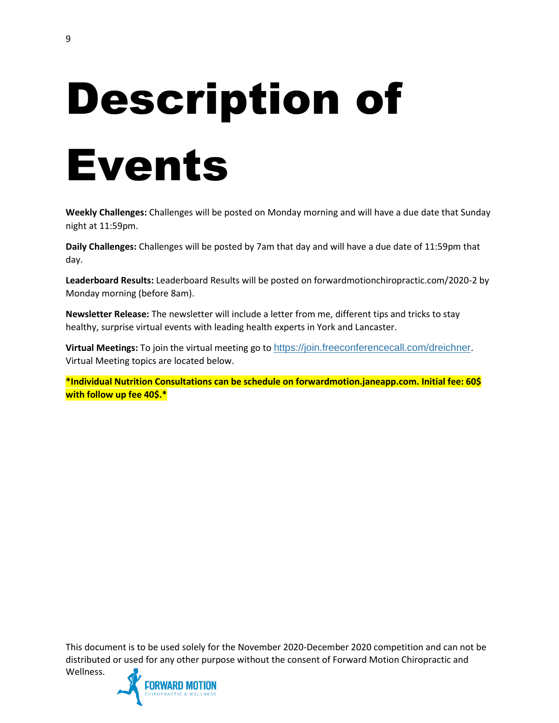## Description of Events

**Weekly Challenges:** Challenges will be posted on Monday morning and will have a due date that Sunday night at 11:59pm.

**Daily Challenges:** Challenges will be posted by 7am that day and will have a due date of 11:59pm that day.

**Leaderboard Results:** Leaderboard Results will be posted on forwardmotionchiropractic.com/2020-2 by Monday morning (before 8am).

**Newsletter Release:** The newsletter will include a letter from me, different tips and tricks to stay healthy, surprise virtual events with leading health experts in York and Lancaster.

**Virtual Meetings:** To join the virtual meeting go to <https://join.freeconferencecall.com/dreichner>. Virtual Meeting topics are located below.

**\*Individual Nutrition Consultations can be schedule on forwardmotion.janeapp.com. Initial fee: 60\$ with follow up fee 40\$.\***

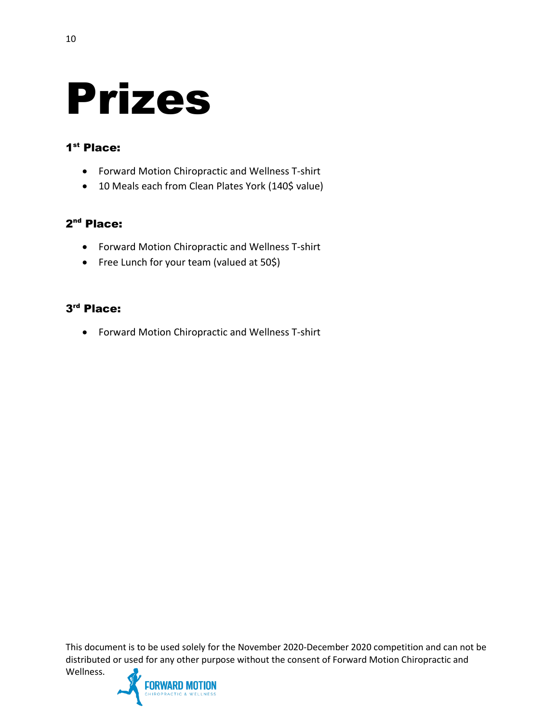### Prizes

#### 1<sup>st</sup> Place:

- Forward Motion Chiropractic and Wellness T-shirt
- 10 Meals each from Clean Plates York (140\$ value)

#### 2<sup>nd</sup> Place:

- Forward Motion Chiropractic and Wellness T-shirt
- Free Lunch for your team (valued at 50\$)

#### 3 rd Place:

• Forward Motion Chiropractic and Wellness T-shirt

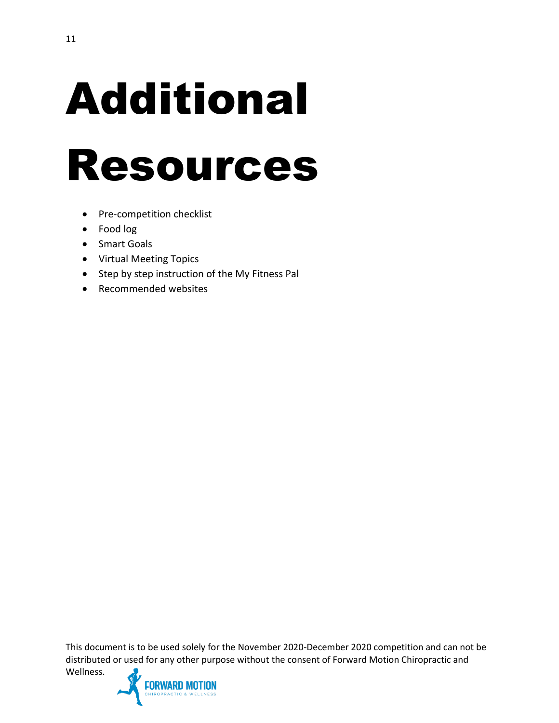## Additional

### Resources

- Pre-competition checklist
- Food log
- Smart Goals
- Virtual Meeting Topics
- Step by step instruction of the My Fitness Pal
- Recommended websites

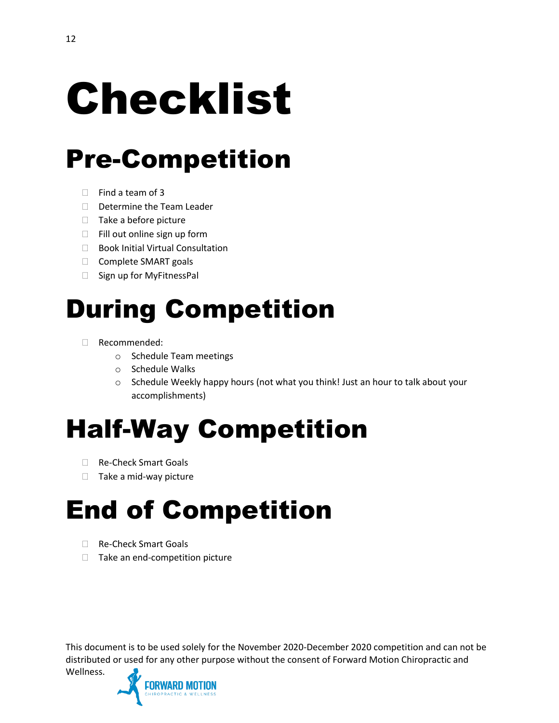### Checklist

### Pre-Competition

- $\Box$  Find a team of 3
- D Determine the Team Leader
- $\Box$  Take a before picture
- $\Box$  Fill out online sign up form
- $\Box$  Book Initial Virtual Consultation
- □ Complete SMART goals
- □ Sign up for MyFitnessPal

### During Competition

- Recommended:
	- o Schedule Team meetings
	- o Schedule Walks
	- $\circ$  Schedule Weekly happy hours (not what you think! Just an hour to talk about your accomplishments)

### Half-Way Competition

- □ Re-Check Smart Goals
- $\Box$  Take a mid-way picture

### End of Competition

□ Re-Check Smart Goals

Wellness.

 $\Box$  Take an end-competition picture

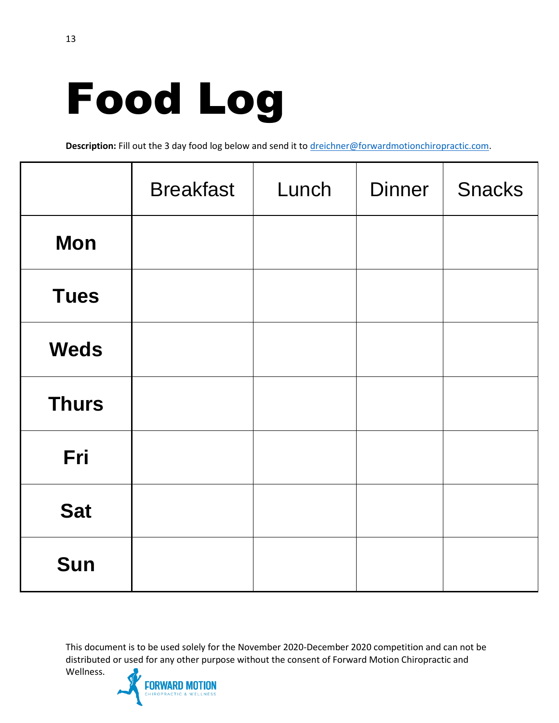## Food Log

Description: Fill out the 3 day food log below and send it t[o dreichner@forwardmotionchiropractic.com.](mailto:dreichner@forwardmotionchiropractic.com)

|              | <b>Breakfast</b> | Lunch | <b>Dinner</b> | <b>Snacks</b> |
|--------------|------------------|-------|---------------|---------------|
| <b>Mon</b>   |                  |       |               |               |
| <b>Tues</b>  |                  |       |               |               |
| <b>Weds</b>  |                  |       |               |               |
| <b>Thurs</b> |                  |       |               |               |
| Fri          |                  |       |               |               |
| <b>Sat</b>   |                  |       |               |               |
| Sun          |                  |       |               |               |

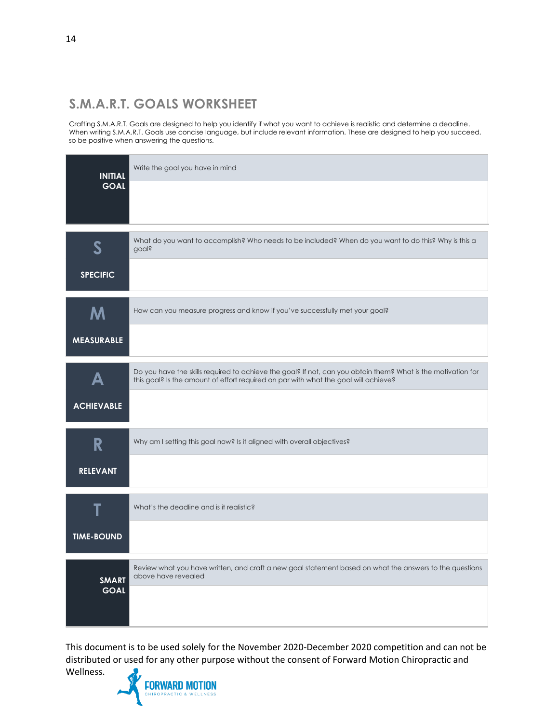#### **S.M.A.R.T. GOALS WORKSHEET**

Crafting S.M.A.R.T. Goals are designed to help you identify if what you want to achieve is realistic and determine a deadline. When writing S.M.A.R.T. Goals use concise language, but include relevant information. These are designed to help you succeed, so be positive when answering the questions.

| <b>INITIAL</b>            | Write the goal you have in mind                                                                                                                                                                     |
|---------------------------|-----------------------------------------------------------------------------------------------------------------------------------------------------------------------------------------------------|
| <b>GOAL</b>               |                                                                                                                                                                                                     |
| $\boldsymbol{\mathsf{S}}$ | What do you want to accomplish? Who needs to be included? When do you want to do this? Why is this a<br>goal?                                                                                       |
| <b>SPECIFIC</b>           |                                                                                                                                                                                                     |
| M                         | How can you measure progress and know if you've successfully met your goal?                                                                                                                         |
| <b>MEASURABLE</b>         |                                                                                                                                                                                                     |
| Δ                         | Do you have the skills required to achieve the goal? If not, can you obtain them? What is the motivation for<br>this goal? Is the amount of effort required on par with what the goal will achieve? |
| <b>ACHIEVABLE</b>         |                                                                                                                                                                                                     |
| R                         | Why am I setting this goal now? Is it aligned with overall objectives?                                                                                                                              |
| <b>RELEVANT</b>           |                                                                                                                                                                                                     |
| T                         | What's the deadline and is it realistic?                                                                                                                                                            |
| <b>TIME-BOUND</b>         |                                                                                                                                                                                                     |
| <b>SMART</b>              | Review what you have written, and craft a new goal statement based on what the answers to the questions<br>above have revealed                                                                      |
| <b>GOAL</b>               |                                                                                                                                                                                                     |

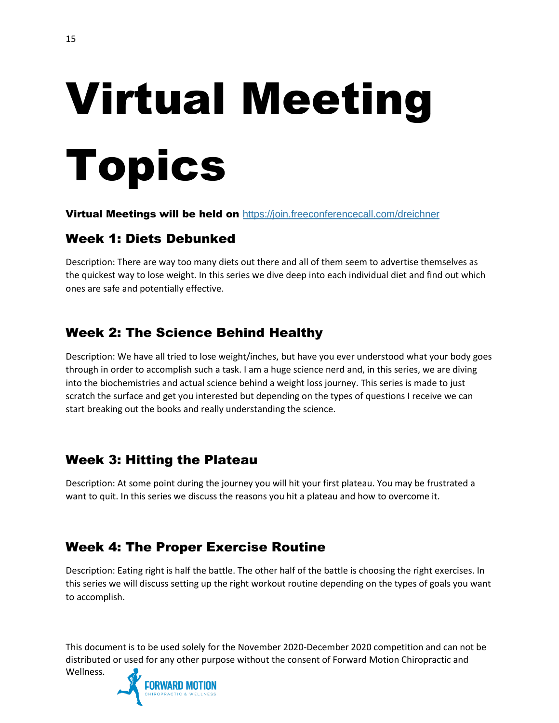# Virtual Meeting Topics

#### Virtual Meetings will be held on <https://join.freeconferencecall.com/dreichner>

#### Week 1: Diets Debunked

Description: There are way too many diets out there and all of them seem to advertise themselves as the quickest way to lose weight. In this series we dive deep into each individual diet and find out which ones are safe and potentially effective.

#### Week 2: The Science Behind Healthy

Description: We have all tried to lose weight/inches, but have you ever understood what your body goes through in order to accomplish such a task. I am a huge science nerd and, in this series, we are diving into the biochemistries and actual science behind a weight loss journey. This series is made to just scratch the surface and get you interested but depending on the types of questions I receive we can start breaking out the books and really understanding the science.

#### Week 3: Hitting the Plateau

Description: At some point during the journey you will hit your first plateau. You may be frustrated a want to quit. In this series we discuss the reasons you hit a plateau and how to overcome it.

#### Week 4: The Proper Exercise Routine

Description: Eating right is half the battle. The other half of the battle is choosing the right exercises. In this series we will discuss setting up the right workout routine depending on the types of goals you want to accomplish.

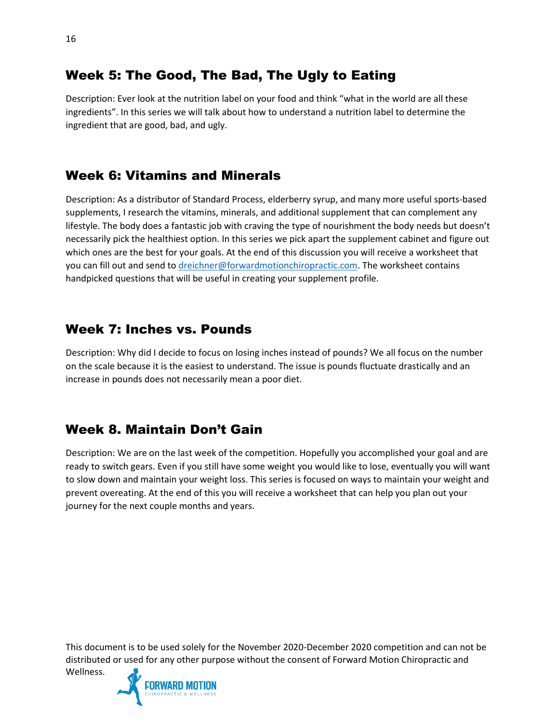### Description: Ever look at the nutrition label on your food and think "what in the world are all these

Week 5: The Good, The Bad, The Ugly to Eating

ingredients". In this series we will talk about how to understand a nutrition label to determine the ingredient that are good, bad, and ugly.

#### Week 6: Vitamins and Minerals

Description: As a distributor of Standard Process, elderberry syrup, and many more useful sports-based supplements, I research the vitamins, minerals, and additional supplement that can complement any lifestyle. The body does a fantastic job with craving the type of nourishment the body needs but doesn't necessarily pick the healthiest option. In this series we pick apart the supplement cabinet and figure out which ones are the best for your goals. At the end of this discussion you will receive a worksheet that you can fill out and send t[o dreichner@forwardmotionchiropractic.com.](mailto:dreichner@forwardmotionchiropractic.com) The worksheet contains handpicked questions that will be useful in creating your supplement profile.

#### Week 7: Inches vs. Pounds

Description: Why did I decide to focus on losing inches instead of pounds? We all focus on the number on the scale because it is the easiest to understand. The issue is pounds fluctuate drastically and an increase in pounds does not necessarily mean a poor diet.

#### Week 8. Maintain Don't Gain

Description: We are on the last week of the competition. Hopefully you accomplished your goal and are ready to switch gears. Even if you still have some weight you would like to lose, eventually you will want to slow down and maintain your weight loss. This series is focused on ways to maintain your weight and prevent overeating. At the end of this you will receive a worksheet that can help you plan out your journey for the next couple months and years.

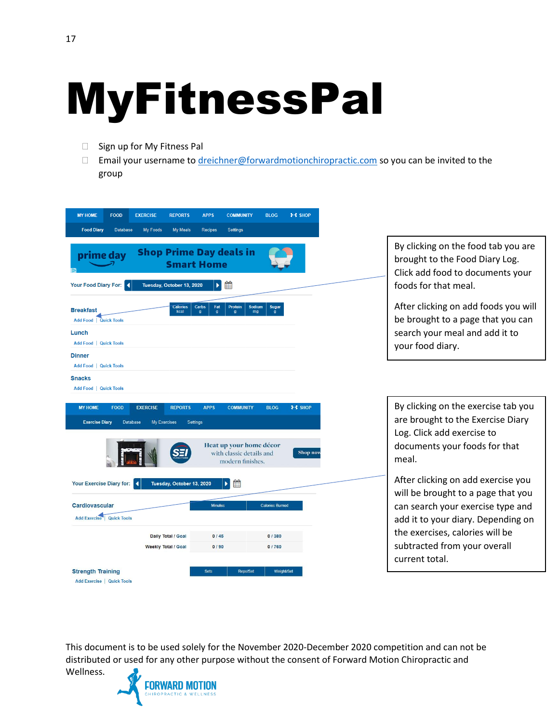### MyFitnessPal

- □ Sign up for My Fitness Pal
- □ Email your username to [dreichner@forwardmotionchiropractic.com](mailto:dreichner@forwardmotionchiropractic.com) so you can be invited to the group

| <b>MY HOME</b><br><b>FOOD</b><br><b>Food Diary</b><br><b>Database</b>                                 | <b>EXERCISE</b><br><b>REPORTS</b><br><b>My Foods</b><br><b>My Meals</b> | <b>APPS</b><br><b>COMMUNITY</b><br><b>Settings</b><br><b>Recipes</b>                                                   | <b>BLOG</b>                                         | ⊁⊀ SHOP             |
|-------------------------------------------------------------------------------------------------------|-------------------------------------------------------------------------|------------------------------------------------------------------------------------------------------------------------|-----------------------------------------------------|---------------------|
| prime day<br>Your Food Diary For:                                                                     | Tuesday, October 13, 2020                                               | <b>Shop Prime Day deals in</b><br><b>Smart Home</b><br>雦<br>ь                                                          |                                                     |                     |
|                                                                                                       |                                                                         |                                                                                                                        |                                                     |                     |
| <b>Breakfast</b><br><b>Add Food   Quick Tools</b><br>Lunch<br>Add Food   Quick Tools<br><b>Dinner</b> | Calories<br>kcal                                                        | Fat<br><b>Protein</b><br>Carbs                                                                                         | <b>Sodium</b><br><b>Sugar</b><br>ma<br>$\mathbf{q}$ |                     |
| Add Food   Quick Tools                                                                                |                                                                         |                                                                                                                        |                                                     |                     |
| <b>Snacks</b><br>Add Food   Quick Tools                                                               |                                                                         |                                                                                                                        |                                                     |                     |
| <b>MY HOME</b><br><b>FOOD</b><br><b>Exercise Diary</b>                                                | <b>REPORTS</b><br><b>EXERCISE</b><br>Database<br><b>My Exercises</b>    | <b>APPS</b><br><b>COMMUNITY</b><br>Settings<br>Heat up your home décor<br>with classic details and<br>modern finishes. | <b>BLOG</b>                                         | ⊁⊀ SHOP<br>Shop now |
| Your Exercise Diary for:<br>Cardiovascular                                                            | Т¥<br>Tuesday, October 13, 2020                                         | 曲<br><b>Minutes</b>                                                                                                    | <b>Calories Burned</b>                              |                     |
| Add Exercise   Quick Tools                                                                            |                                                                         |                                                                                                                        |                                                     |                     |
|                                                                                                       | Daily Total / Goal<br><b>Weekly Total / Goal</b>                        | 0/45<br>0/90                                                                                                           | 0 / 380<br>0 / 760                                  |                     |
| <b>Strength Training</b><br><b>Add Exercise   Quick Tools</b>                                         |                                                                         | <b>Reps/Set</b><br>Sets                                                                                                | <b>Weight/Set</b>                                   |                     |

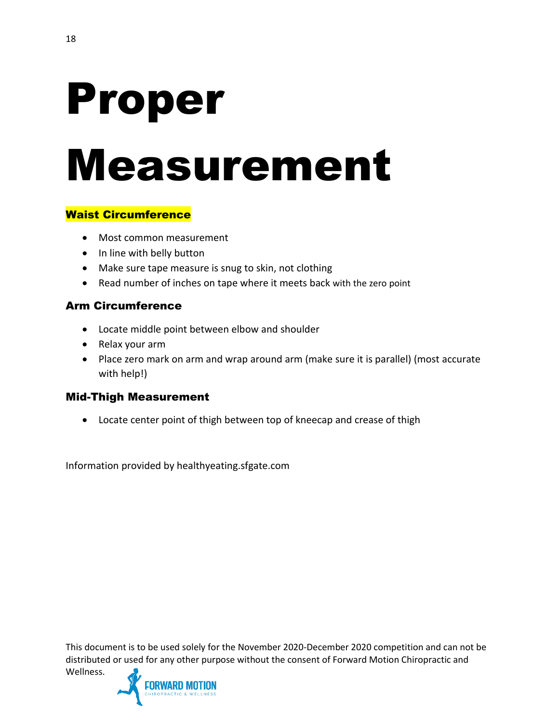## Proper Measurement

#### Waist Circumference

- Most common measurement
- In line with belly button
- Make sure tape measure is snug to skin, not clothing
- Read number of inches on tape where it meets back with the zero point

#### Arm Circumference

- Locate middle point between elbow and shoulder
- Relax your arm
- Place zero mark on arm and wrap around arm (make sure it is parallel) (most accurate with help!)

#### Mid-Thigh Measurement

• Locate center point of thigh between top of kneecap and crease of thigh

Information provided by healthyeating.sfgate.com